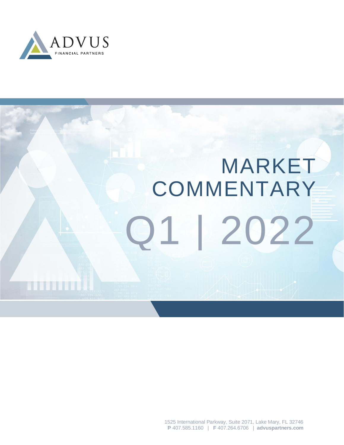

# MARKET Q1 | 2022 **COMMENTARY**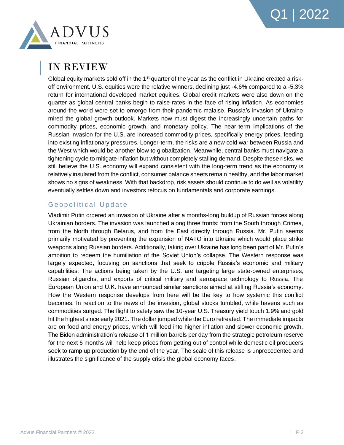

### IN REVIEW

Global equity markets sold off in the 1<sup>st</sup> quarter of the year as the conflict in Ukraine created a riskoff environment. U.S. equities were the relative winners, declining just -4.6% compared to a -5.3% return for international developed market equities. Global credit markets were also down on the quarter as global central banks begin to raise rates in the face of rising inflation. As economies around the world were set to emerge from their pandemic malaise, Russia's invasion of Ukraine mired the global growth outlook. Markets now must digest the increasingly uncertain paths for commodity prices, economic growth, and monetary policy. The near-term implications of the Russian invasion for the U.S. are increased commodity prices, specifically energy prices, feeding into existing inflationary pressures. Longer-term, the risks are a new cold war between Russia and the West which would be another blow to globalization. Meanwhile, central banks must navigate a tightening cycle to mitigate inflation but without completely stalling demand. Despite these risks, we still believe the U.S. economy will expand consistent with the long-term trend as the economy is relatively insulated from the conflict, consumer balance sheets remain healthy, and the labor market shows no signs of weakness. With that backdrop, risk assets should continue to do well as volatility eventually settles down and investors refocus on fundamentals and corporate earnings.

#### Geopolitical Update

Vladimir Putin ordered an invasion of Ukraine after a months-long buildup of Russian forces along Ukrainian borders. The invasion was launched along three fronts: from the South through Crimea, from the North through Belarus, and from the East directly through Russia. Mr. Putin seems primarily motivated by preventing the expansion of NATO into Ukraine which would place strike weapons along Russian borders. Additionally, taking over Ukraine has long been part of Mr. Putin's ambition to redeem the humiliation of the Soviet Union's collapse. The Western response was largely expected, focusing on sanctions that seek to cripple Russia's economic and military capabilities. The actions being taken by the U.S. are targeting large state-owned enterprises, Russian oligarchs, and exports of critical military and aerospace technology to Russia. The European Union and U.K. have announced similar sanctions aimed at stifling Russia's economy. How the Western response develops from here will be the key to how systemic this conflict becomes. In reaction to the news of the invasion, global stocks tumbled, while havens such as commodities surged. The flight to safety saw the 10-year U.S. Treasury yield touch 1.9% and gold hit the highest since early 2021. The dollar jumped while the Euro retreated. The immediate impacts are on food and energy prices, which will feed into higher inflation and slower economic growth. The Biden administration's release of 1 million barrels per day from the strategic petroleum reserve for the next 6 months will help keep prices from getting out of control while domestic oil producers seek to ramp up production by the end of the year. The scale of this release is unprecedented and illustrates the significance of the supply crisis the global economy faces.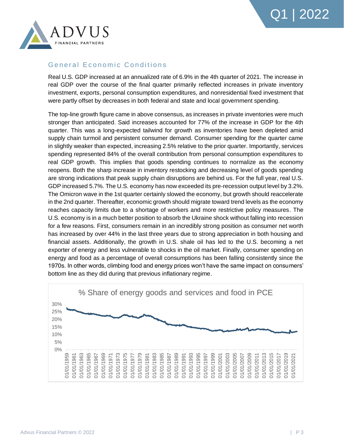

#### General Economic Conditions

Real U.S. GDP increased at an annualized rate of 6.9% in the 4th quarter of 2021. The increase in real GDP over the course of the final quarter primarily reflected increases in private inventory investment, exports, personal consumption expenditures, and nonresidential fixed investment that were partly offset by decreases in both federal and state and local government spending.

The top-line growth figure came in above consensus, as increases in private inventories were much stronger than anticipated. Said increases accounted for 77% of the increase in GDP for the 4th quarter. This was a long-expected tailwind for growth as inventories have been depleted amid supply chain turmoil and persistent consumer demand. Consumer spending for the quarter came in slightly weaker than expected, increasing 2.5% relative to the prior quarter. Importantly, services spending represented 84% of the overall contribution from personal consumption expenditures to real GDP growth. This implies that goods spending continues to normalize as the economy reopens. Both the sharp increase in inventory restocking and decreasing level of goods spending are strong indications that peak supply chain disruptions are behind us. For the full year, real U.S. GDP increased 5.7%. The U.S. economy has now exceeded its pre-recession output level by 3.2%. The Omicron wave in the 1st quarter certainly slowed the economy, but growth should reaccelerate in the 2nd quarter. Thereafter, economic growth should migrate toward trend levels as the economy reaches capacity limits due to a shortage of workers and more restrictive policy measures. The U.S. economy is in a much better position to absorb the Ukraine shock without falling into recession for a few reasons. First, consumers remain in an incredibly strong position as consumer net worth has increased by over 44% in the last three years due to strong appreciation in both housing and financial assets. Additionally, the growth in U.S. shale oil has led to the U.S. becoming a net exporter of energy and less vulnerable to shocks in the oil market. Finally, consumer spending on energy and food as a percentage of overall consumptions has been falling consistently since the 1970s. In other words, climbing food and energy prices won't have the same impact on consumers' bottom line as they did during that previous inflationary regime.

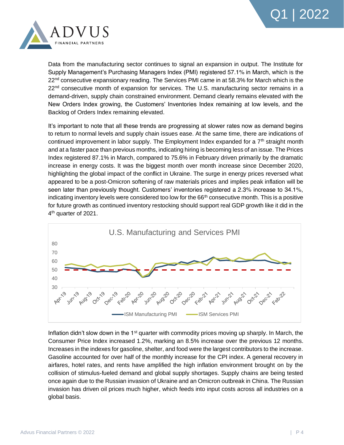



Data from the manufacturing sector continues to signal an expansion in output. The Institute for Supply Management's Purchasing Managers Index (PMI) registered 57.1% in March, which is the 22<sup>nd</sup> consecutive expansionary reading. The Services PMI came in at 58.3% for March which is the 22<sup>nd</sup> consecutive month of expansion for services. The U.S. manufacturing sector remains in a demand-driven, supply chain constrained environment. Demand clearly remains elevated with the New Orders Index growing, the Customers' Inventories Index remaining at low levels, and the Backlog of Orders Index remaining elevated.

It's important to note that all these trends are progressing at slower rates now as demand begins to return to normal levels and supply chain issues ease. At the same time, there are indications of continued improvement in labor supply. The Employment Index expanded for a 7<sup>th</sup> straight month and at a faster pace than previous months, indicating hiring is becoming less of an issue. The Prices Index registered 87.1% in March, compared to 75.6% in February driven primarily by the dramatic increase in energy costs. It was the biggest month over month increase since December 2020, highlighting the global impact of the conflict in Ukraine. The surge in energy prices reversed what appeared to be a post-Omicron softening of raw materials prices and implies peak inflation will be seen later than previously thought. Customers' inventories registered a 2.3% increase to 34.1%, indicating inventory levels were considered too low for the 66<sup>th</sup> consecutive month. This is a positive for future growth as continued inventory restocking should support real GDP growth like it did in the 4<sup>th</sup> quarter of 2021.



Inflation didn't slow down in the  $1<sup>st</sup>$  quarter with commodity prices moving up sharply. In March, the Consumer Price Index increased 1.2%, marking an 8.5% increase over the previous 12 months. Increases in the indexes for gasoline, shelter, and food were the largest contributors to the increase. Gasoline accounted for over half of the monthly increase for the CPI index. A general recovery in airfares, hotel rates, and rents have amplified the high inflation environment brought on by the collision of stimulus-fueled demand and global supply shortages. Supply chains are being tested once again due to the Russian invasion of Ukraine and an Omicron outbreak in China. The Russian invasion has driven oil prices much higher, which feeds into input costs across all industries on a global basis.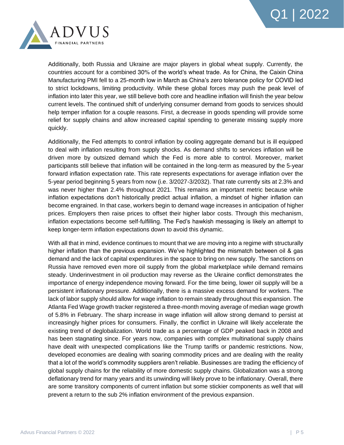



Additionally, both Russia and Ukraine are major players in global wheat supply. Currently, the countries account for a combined 30% of the world's wheat trade. As for China, the Caixin China Manufacturing PMI fell to a 25-month low in March as China's zero tolerance policy for COVID led to strict lockdowns, limiting productivity. While these global forces may push the peak level of inflation into later this year, we still believe both core and headline inflation will finish the year below current levels. The continued shift of underlying consumer demand from goods to services should help temper inflation for a couple reasons. First, a decrease in goods spending will provide some relief for supply chains and allow increased capital spending to generate missing supply more quickly.

Additionally, the Fed attempts to control inflation by cooling aggregate demand but is ill equipped to deal with inflation resulting from supply shocks. As demand shifts to services inflation will be driven more by outsized demand which the Fed is more able to control. Moreover, market participants still believe that inflation will be contained in the long-term as measured by the 5-year forward inflation expectation rate. This rate represents expectations for average inflation over the 5-year period beginning 5 years from now (i.e. 3/2027-3/2032). That rate currently sits at 2.3% and was never higher than 2.4% throughout 2021. This remains an important metric because while inflation expectations don't historically predict actual inflation, a mindset of higher inflation can become engrained. In that case, workers begin to demand wage increases in anticipation of higher prices. Employers then raise prices to offset their higher labor costs. Through this mechanism, inflation expectations become self-fulfilling. The Fed's hawkish messaging is likely an attempt to keep longer-term inflation expectations down to avoid this dynamic.

With all that in mind, evidence continues to mount that we are moving into a regime with structurally higher inflation than the previous expansion. We've highlighted the mismatch between oil & gas demand and the lack of capital expenditures in the space to bring on new supply. The sanctions on Russia have removed even more oil supply from the global marketplace while demand remains steady. Underinvestment in oil production may reverse as the Ukraine conflict demonstrates the importance of energy independence moving forward. For the time being, lower oil supply will be a persistent inflationary pressure. Additionally, there is a massive excess demand for workers. The lack of labor supply should allow for wage inflation to remain steady throughout this expansion. The Atlanta Fed Wage growth tracker registered a three-month moving average of median wage growth of 5.8% in February. The sharp increase in wage inflation will allow strong demand to persist at increasingly higher prices for consumers. Finally, the conflict in Ukraine will likely accelerate the existing trend of deglobalization. World trade as a percentage of GDP peaked back in 2008 and has been stagnating since. For years now, companies with complex multinational supply chains have dealt with unexpected complications like the Trump tariffs or pandemic restrictions. Now, developed economies are dealing with soaring commodity prices and are dealing with the reality that a lot of the world's commodity suppliers aren't reliable. Businesses are trading the efficiency of global supply chains for the reliability of more domestic supply chains. Globalization was a strong deflationary trend for many years and its unwinding will likely prove to be inflationary. Overall, there are some transitory components of current inflation but some stickier components as well that will prevent a return to the sub 2% inflation environment of the previous expansion.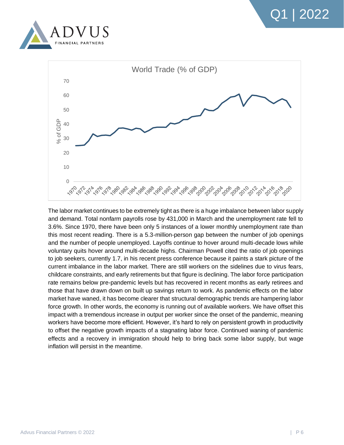



The labor market continues to be extremely tight as there is a huge imbalance between labor supply and demand. Total nonfarm payrolls rose by 431,000 in March and the unemployment rate fell to 3.6%. Since 1970, there have been only 5 instances of a lower monthly unemployment rate than this most recent reading. There is a 5.3-million-person gap between the number of job openings and the number of people unemployed. Layoffs continue to hover around multi-decade lows while voluntary quits hover around multi-decade highs. Chairman Powell cited the ratio of job openings to job seekers, currently 1.7, in his recent press conference because it paints a stark picture of the current imbalance in the labor market. There are still workers on the sidelines due to virus fears, childcare constraints, and early retirements but that figure is declining. The labor force participation rate remains below pre-pandemic levels but has recovered in recent months as early retirees and those that have drawn down on built up savings return to work. As pandemic effects on the labor market have waned, it has become clearer that structural demographic trends are hampering labor force growth. In other words, the economy is running out of available workers. We have offset this impact with a tremendous increase in output per worker since the onset of the pandemic, meaning workers have become more efficient. However, it's hard to rely on persistent growth in productivity to offset the negative growth impacts of a stagnating labor force. Continued waning of pandemic effects and a recovery in immigration should help to bring back some labor supply, but wage inflation will persist in the meantime.

Q1 | 2022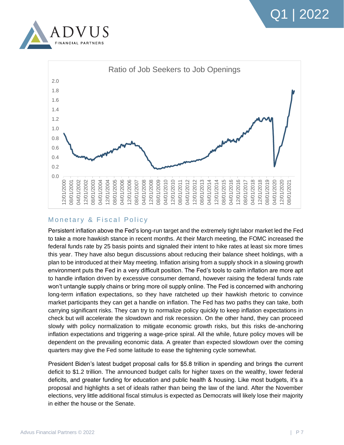





#### Monetary & Fiscal Policy

Persistent inflation above the Fed's long-run target and the extremely tight labor market led the Fed to take a more hawkish stance in recent months. At their March meeting, the FOMC increased the federal funds rate by 25 basis points and signaled their intent to hike rates at least six more times this year. They have also begun discussions about reducing their balance sheet holdings, with a plan to be introduced at their May meeting. Inflation arising from a supply shock in a slowing growth environment puts the Fed in a very difficult position. The Fed's tools to calm inflation are more apt to handle inflation driven by excessive consumer demand, however raising the federal funds rate won't untangle supply chains or bring more oil supply online. The Fed is concerned with anchoring long-term inflation expectations, so they have ratcheted up their hawkish rhetoric to convince market participants they can get a handle on inflation. The Fed has two paths they can take, both carrying significant risks. They can try to normalize policy quickly to keep inflation expectations in check but will accelerate the slowdown and risk recession. On the other hand, they can proceed slowly with policy normalization to mitigate economic growth risks, but this risks de-anchoring inflation expectations and triggering a wage-price spiral. All the while, future policy moves will be dependent on the prevailing economic data. A greater than expected slowdown over the coming quarters may give the Fed some latitude to ease the tightening cycle somewhat.

President Biden's latest budget proposal calls for \$5.8 trillion in spending and brings the current deficit to \$1.2 trillion. The announced budget calls for higher taxes on the wealthy, lower federal deficits, and greater funding for education and public health & housing. Like most budgets, it's a proposal and highlights a set of ideals rather than being the law of the land. After the November elections, very little additional fiscal stimulus is expected as Democrats will likely lose their majority in either the house or the Senate.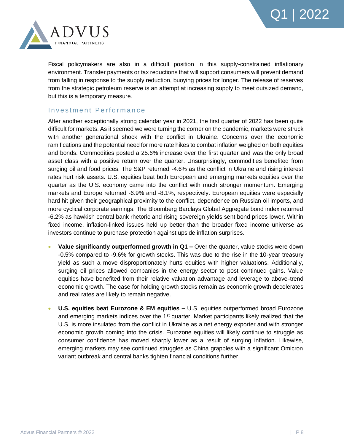



Fiscal policymakers are also in a difficult position in this supply-constrained inflationary environment. Transfer payments or tax reductions that will support consumers will prevent demand from falling in response to the supply reduction, buoying prices for longer. The release of reserves from the strategic petroleum reserve is an attempt at increasing supply to meet outsized demand, but this is a temporary measure.

#### Investment Performance

After another exceptionally strong calendar year in 2021, the first quarter of 2022 has been quite difficult for markets. As it seemed we were turning the corner on the pandemic, markets were struck with another generational shock with the conflict in Ukraine. Concerns over the economic ramifications and the potential need for more rate hikes to combat inflation weighed on both equities and bonds. Commodities posted a 25.6% increase over the first quarter and was the only broad asset class with a positive return over the quarter. Unsurprisingly, commodities benefited from surging oil and food prices. The S&P returned -4.6% as the conflict in Ukraine and rising interest rates hurt risk assets. U.S. equities beat both European and emerging markets equities over the quarter as the U.S. economy came into the conflict with much stronger momentum. Emerging markets and Europe returned -6.9% and -8.1%, respectively. European equities were especially hard hit given their geographical proximity to the conflict, dependence on Russian oil imports, and more cyclical corporate earnings. The Bloomberg Barclays Global Aggregate bond index returned -6.2% as hawkish central bank rhetoric and rising sovereign yields sent bond prices lower. Within fixed income, inflation-linked issues held up better than the broader fixed income universe as investors continue to purchase protection against upside inflation surprises.

- **Value significantly outperformed growth in Q1** Over the quarter, value stocks were down -0.5% compared to -9.6% for growth stocks. This was due to the rise in the 10-year treasury yield as such a move disproportionately hurts equities with higher valuations. Additionally, surging oil prices allowed companies in the energy sector to post continued gains. Value equities have benefited from their relative valuation advantage and leverage to above-trend economic growth. The case for holding growth stocks remain as economic growth decelerates and real rates are likely to remain negative.
- **U.S. equities beat Eurozone & EM equities –** U.S. equities outperformed broad Eurozone and emerging markets indices over the  $1<sup>st</sup>$  quarter. Market participants likely realized that the U.S. is more insulated from the conflict in Ukraine as a net energy exporter and with stronger economic growth coming into the crisis. Eurozone equities will likely continue to struggle as consumer confidence has moved sharply lower as a result of surging inflation. Likewise, emerging markets may see continued struggles as China grapples with a significant Omicron variant outbreak and central banks tighten financial conditions further.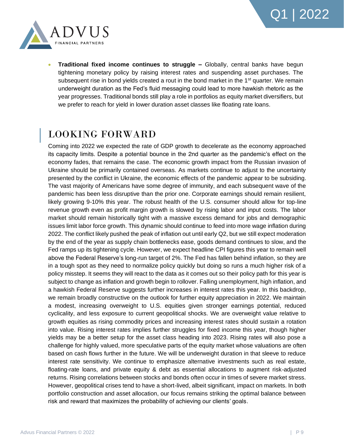

• **Traditional fixed income continues to struggle –** Globally, central banks have begun tightening monetary policy by raising interest rates and suspending asset purchases. The subsequent rise in bond yields created a rout in the bond market in the 1<sup>st</sup> quarter. We remain underweight duration as the Fed's fluid messaging could lead to more hawkish rhetoric as the year progresses. Traditional bonds still play a role in portfolios as equity market diversifiers, but we prefer to reach for yield in lower duration asset classes like floating rate loans.

## LOOKING FORWARD

Coming into 2022 we expected the rate of GDP growth to decelerate as the economy approached its capacity limits. Despite a potential bounce in the 2nd quarter as the pandemic's effect on the economy fades, that remains the case. The economic growth impact from the Russian invasion of Ukraine should be primarily contained overseas. As markets continue to adjust to the uncertainty presented by the conflict in Ukraine, the economic effects of the pandemic appear to be subsiding. The vast majority of Americans have some degree of immunity, and each subsequent wave of the pandemic has been less disruptive than the prior one. Corporate earnings should remain resilient, likely growing 9-10% this year. The robust health of the U.S. consumer should allow for top-line revenue growth even as profit margin growth is slowed by rising labor and input costs. The labor market should remain historically tight with a massive excess demand for jobs and demographic issues limit labor force growth. This dynamic should continue to feed into more wage inflation during 2022. The conflict likely pushed the peak of inflation out until early Q2, but we still expect moderation by the end of the year as supply chain bottlenecks ease, goods demand continues to slow, and the Fed ramps up its tightening cycle. However, we expect headline CPI figures this year to remain well above the Federal Reserve's long-run target of 2%. The Fed has fallen behind inflation, so they are in a tough spot as they need to normalize policy quickly but doing so runs a much higher risk of a policy misstep. It seems they will react to the data as it comes out so their policy path for this year is subject to change as inflation and growth begin to rollover. Falling unemployment, high inflation, and a hawkish Federal Reserve suggests further increases in interest rates this year. In this backdrop, we remain broadly constructive on the outlook for further equity appreciation in 2022. We maintain a modest, increasing overweight to U.S. equities given stronger earnings potential, reduced cyclicality, and less exposure to current geopolitical shocks. We are overweight value relative to growth equities as rising commodity prices and increasing interest rates should sustain a rotation into value. Rising interest rates implies further struggles for fixed income this year, though higher yields may be a better setup for the asset class heading into 2023. Rising rates will also pose a challenge for highly valued, more speculative parts of the equity market whose valuations are often based on cash flows further in the future. We will be underweight duration in that sleeve to reduce interest rate sensitivity. We continue to emphasize alternative investments such as real estate, floating-rate loans, and private equity & debt as essential allocations to augment risk-adjusted returns. Rising correlations between stocks and bonds often occur in times of severe market stress. However, geopolitical crises tend to have a short-lived, albeit significant, impact on markets. In both portfolio construction and asset allocation, our focus remains striking the optimal balance between risk and reward that maximizes the probability of achieving our clients' goals.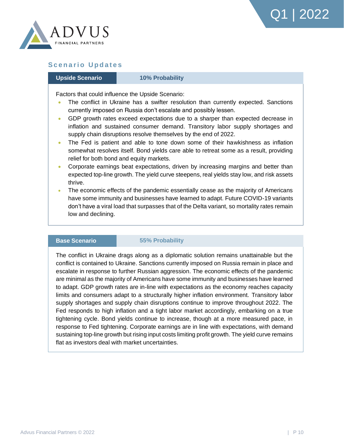



#### **Scenario Updates**

#### **Upside Scenario** *10% Probability*

Factors that could influence the Upside Scenario:

- The conflict in Ukraine has a swifter resolution than currently expected. Sanctions currently imposed on Russia don't escalate and possibly lessen.
- GDP growth rates exceed expectations due to a sharper than expected decrease in inflation and sustained consumer demand. Transitory labor supply shortages and supply chain disruptions resolve themselves by the end of 2022.
- The Fed is patient and able to tone down some of their hawkishness as inflation somewhat resolves itself. Bond yields care able to retreat some as a result, providing relief for both bond and equity markets.
- Corporate earnings beat expectations, driven by increasing margins and better than expected top-line growth. The yield curve steepens, real yields stay low, and risk assets thrive.
- The economic effects of the pandemic essentially cease as the majority of Americans have some immunity and businesses have learned to adapt. Future COVID-19 variants don't have a viral load that surpasses that of the Delta variant, so mortality rates remain low and declining.

#### **Base Scenario** *55% Probability*

The conflict in Ukraine drags along as a diplomatic solution remains unattainable but the conflict is contained to Ukraine. Sanctions currently imposed on Russia remain in place and escalate in response to further Russian aggression. The economic effects of the pandemic are minimal as the majority of Americans have some immunity and businesses have learned to adapt. GDP growth rates are in-line with expectations as the economy reaches capacity limits and consumers adapt to a structurally higher inflation environment. Transitory labor supply shortages and supply chain disruptions continue to improve throughout 2022. The Fed responds to high inflation and a tight labor market accordingly, embarking on a true tightening cycle. Bond yields continue to increase, though at a more measured pace, in response to Fed tightening. Corporate earnings are in line with expectations, with demand sustaining top-line growth but rising input costs limiting profit growth. The yield curve remains flat as investors deal with market uncertainties.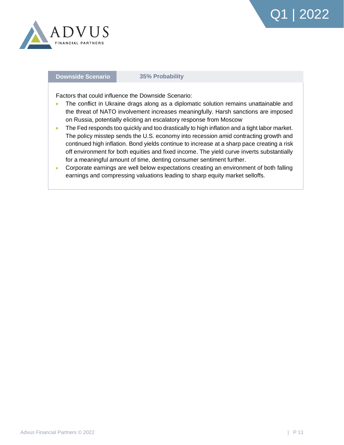

#### **Downside Scenario** *35% Probability*

Factors that could influence the Downside Scenario:

- The conflict in Ukraine drags along as a diplomatic solution remains unattainable and the threat of NATO involvement increases meaningfully. Harsh sanctions are imposed on Russia, potentially eliciting an escalatory response from Moscow
- The Fed responds too quickly and too drastically to high inflation and a tight labor market. The policy misstep sends the U.S. economy into recession amid contracting growth and continued high inflation. Bond yields continue to increase at a sharp pace creating a risk off environment for both equities and fixed income. The yield curve inverts substantially for a meaningful amount of time, denting consumer sentiment further.
- Corporate earnings are well below expectations creating an environment of both falling earnings and compressing valuations leading to sharp equity market selloffs.

Q1 | 2022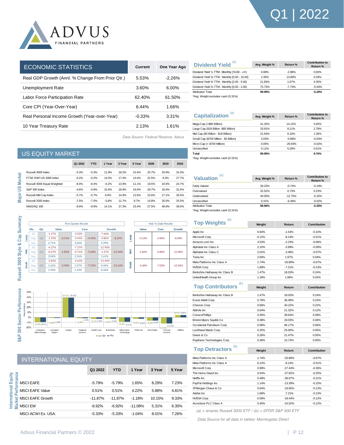

| <b>ECONOMIC STATISTICS</b>                       | Current   | One Year Ago |
|--------------------------------------------------|-----------|--------------|
| Real GDP Growth (Annl. % Change From Prior Qtr.) | 5.53%     | $-2.26%$     |
| Unemployment Rate                                | 3.60%     | $6.00\%$     |
| Labor Force Participation Rate                   | 62.40%    | 61.50%       |
| Core CPI (Year-Over-Year)                        | 6.44%     | 1.66%        |
| Real Personal Income Growth (Year-over-Year)     | $-0.33\%$ | 3.31%        |
| 10 Year Treasury Rate                            | 2.13%     | 1.61%        |
|                                                  |           |              |

| (a)<br><b>Dividend Yield</b>                  | Avg. Weight % | Return % | <b>Contribution to</b><br>Return % |
|-----------------------------------------------|---------------|----------|------------------------------------|
| Dividend Yield % TTM - Monthly [10.00 - +∞)   | 0.08%         | $-2.98%$ | 0.00%                              |
| Dividend Yield % TTM - Monthly [5.00 - 10.00) | 2.35%         | 13.89%   | 0.29%                              |
| Dividend Yield % TTM - Monthly [2.00 - 5.00)  | 21.83%        | 1.67%    | 0.35%                              |
| Dividend Yield % TTM - Monthly [0.00 - 2.00)  | 75.73%        | $-7.73%$ | $-5.93%$                           |
| <b>Attribution Total</b>                      | 99.99%        |          | $-5.29%$                           |
| *Avg. Weight excludes cash (0.31%)            |               |          |                                    |

*Data Source: Federal Reserve, Advus*

| a)<br><b>Capitalization</b>                       | Avg. Weight % | Return %  | <b>Contribution to</b><br>Return % |
|---------------------------------------------------|---------------|-----------|------------------------------------|
| Mega Cap (>\$85 Billion)                          | 41.25%        | 14.12%    | 5.65%                              |
| Large Cap (\$18 Billion -\$85 Billion)            | 33.91%        | 8.11%     | 2.79%                              |
| Mid Cap (\$3 Billion - \$18 Billion)              | 21.64%        | 6.16%     | 1.35%                              |
| Small Cap (\$700 Million - \$3 Billion)           | 3.03%         | $-0.88%$  | $-0.03%$                           |
| Micro Cap (< \$700 Million)                       | 0.05%         | $-29.93%$ | $-0.02%$                           |
| Unclassified                                      | 0.11%         | 5.29%     | 0.01%                              |
| Total                                             | 99.99%        |           | 9.76%                              |
| $*$ A <sub>rr</sub> Maiskt such den enek (0.040/) |               |           |                                    |

\*Avg. Weight excludes cash (0.31%)

| ſai<br><b>Valuation</b>  | Avg. Weight % | Return %  | <b>Contribution to</b><br>Return % |
|--------------------------|---------------|-----------|------------------------------------|
| <b>Fairly Valued</b>     | 26.23%        | $-0.74%$  | $-0.19%$                           |
| Overvalued               | 32.52%        | 0.73%     | 0.23%                              |
| Undervalued              | 40.93%        | $-12.75%$ | $-5.32%$                           |
| Unclassified             | 0.31%         | $-6.49%$  | $-0.02%$                           |
| <b>Attribution Total</b> | 99.99%        |           | $-5.30%$                           |
|                          |               |           |                                    |

\*Avg. Weight excludes cash (0.31%)

| Top Weights <sup>(b)</sup>     | Weight | Return    | Contribution        |  |
|--------------------------------|--------|-----------|---------------------|--|
| Apple Inc                      | 6.94%  | $-1.54%$  | $-0.10%$            |  |
| Microsoft Corp                 | 6.12%  | $-8.14%$  | $-0.51%$            |  |
| Amazon.com Inc                 | 3.53%  | $-2.23%$  | $-0.08%$            |  |
| Alphabet Inc Class A           | 2.15%  | $-3.99%$  | $-0.09%$            |  |
| Alphabet Inc Class C           | 2.01%  | $-3.48%$  | $-0.07%$            |  |
| Tesla Inc.                     | 2.00%  | 1.97%     | 0.04%               |  |
| Meta Platforms Inc Class A     | 1.74%  | $-33.89%$ | $-0.67%$            |  |
| <b>NVIDIA Corp</b>             | 1.68%  | $-7.21%$  | $-0.13%$            |  |
| Berkshire Hathaway Inc Class B | 1.47%  | 18.03%    | 0.24%               |  |
| UnitedHealth Group Inc         | 1.18%  | 1.86%     | 0.02%               |  |
| (b)                            |        |           |                     |  |
| <b>Top Contributors</b>        | Weight | Return    | <b>Contribution</b> |  |
| Berkshire Hathaway Inc Class B | 1.47%  | 18.03%    | 0.24%               |  |
| Exxon Mobil Corp               | 0.79%  | 36.48%    | 0.23%               |  |
| Chevron Corp                   | 0.66%  | 40.22%    | 0.22%               |  |
| AbbVie Inc                     | 0.64%  | 21.32%    | 0.12%               |  |
| ConocoPhillips                 | 0.30%  | 39.64%    | 0.09%               |  |
| Bristol-Myers Squibb Co        | 0.38%  | 19.03%    | 0.06%               |  |
| Occidental Petroleum Corp      | 0.08%  | 96.17%    | 0.06%               |  |
| Lockheed Martin Corp           | 0.25%  | 25.00%    | 0.05%               |  |
| Deere & Co                     | 0.26%  | 21.47%    | 0.05%               |  |
| Raytheon Technologies Corp     | 0.36%  | 15.74%    | 0.05%               |  |
| (b)                            |        |           |                     |  |
| <b>Top Detractors</b>          | Weight | Return    | Contribution        |  |
| Meta Platforms Inc Class A     | 1.74%  | $-33.89%$ | $-0.67%$            |  |
| Meta Platforms Inc Class A     | 6.12%  | $-8.14%$  | $-0.51%$            |  |
| Microsoft Corp                 | 0.99%  | $-27.44%$ | $-0.30%$            |  |
| The Home Depot Inc             | 0.54%  | $-37.82%$ | $-0.25%$            |  |
| Netflix Inc.                   | 0.48%  | $-38.67%$ | $-0.21%$            |  |
| PayPal Holdings Inc            | 1.14%  | $-13.39%$ | $-0.15%$            |  |
| JPMorgan Chase & Co            | 0.64%  | $-19.65%$ | $-0.13%$            |  |
| Adobe Inc                      | 1.68%  | $-7.21%$  | $-0.13%$            |  |
| NVIDIA Corp                    | 0.59%  | $-18.44%$ | $-0.12%$            |  |
| Accenture PLC Class A          | 0.45%  | $-24.02%$ | $-0.12%$            |  |

*(a) = ishares Russell 3000 ETF / (b) = SPDR S&P 500 ETF*

*Data Source for all data in tables: Morningstar Direct*

|                | <b>US EQUITY MARKET</b>     |         |            |         |        |        |       |       |       |
|----------------|-----------------------------|---------|------------|---------|--------|--------|-------|-------|-------|
|                |                             | Q1 2022 | <b>YTD</b> | 1 Year  | 3 Year | 5 Year | 2020  | 2019  | 2018  |
|                | Russell 3000 Index          | $-5.3%$ | $-5.3%$    | 11.9%   | 18.2%  | 15.4%  | 25.7% | 20.9% | 31.0% |
| <b>Market</b>  | FTSE RAFLUS 3000 Index      | $-0.2%$ | $-0.2%$    | 14.5%   | 17.4%  | 13.4%  | 31.5% | 8.3%  | 27.7% |
|                | Russell 3000 Equal Weighted | $-8.4%$ | $-8.4%$    | $-6.2%$ | 13.9%  | 11.1%  | 19.5% | 24.5% | 24.7% |
| $\frac{8}{10}$ | S&P 500 Index               | $-4.6%$ | $-4.6%$    | 15.6%   | 18.9%  | 16.0%  | 28.7% | 18.4% | 31.5% |
| Major          | Russell Mid Cap Index       | $-5.7%$ | $-5.7%$    | 6.9%    | 14.9%  | 12.6%  | 22.6% | 17.1% | 30.5% |
|                | Russell 2000 Index          | $-7.5%$ | $-7.5%$    | $-5.8%$ | 11.7%  | 9.7%   | 14.8% | 20.0% | 25.5% |
|                | NASDAQ 100                  | $-8.9%$ | $-8.9%$    | 14.1%   | 27.3%  | 23.4%  | 27.5% | 48.9% | 39.5% |
|                |                             |         |            |         |        |        |       |       |       |





#### INTERNATIONAL EQUITY

**International Equity** 

International Equity

|                       | Q1 2022    | <b>YTD</b> | 1 Year    | 3 Year | 5 Year |
|-----------------------|------------|------------|-----------|--------|--------|
| e<br>E<br>E MSCI EAFE | $-5.79%$   | $-5.79%$   | 1.65%     | 8.29%  | 7.23%  |
| MSCI EAFE Value<br>o. | 0.51%      | 0.51%      | 4.22%     | 5.88%  | 4.81%  |
| MSCI EAFE Growth      | $-11.87\%$ | $-11.87\%$ | $-1.18%$  | 10.15% | 9.33%  |
| $\frac{1}{2}$ MSCI EM | $-6.92%$   | $-6.92\%$  | $-11.08%$ | 5.31%  | 6.35%  |
| MSCI ACWI Ex. USA.    | $-5.33%$   | $-5.33\%$  | $-1.04%$  | 8.01%  | 7.26%  |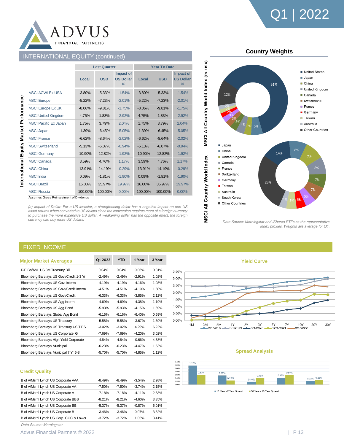



#### INTERNATIONAL EQUITY *(continued)*

|                                   |             | <b>Last Quarter</b> |                                      |             | <b>Year To Date</b> |                                      |  |  |
|-----------------------------------|-------------|---------------------|--------------------------------------|-------------|---------------------|--------------------------------------|--|--|
|                                   | Local       | <b>USD</b>          | Impact of<br><b>US Dollar</b><br>(a) | Local       | <b>USD</b>          | Impact of<br><b>US Dollar</b><br>(a) |  |  |
| <b>MSCI ACWI Ex USA</b>           | $-3.80%$    | $-5.33%$            | $-1.54%$                             | $-3.80%$    | $-5.33%$            | $-1.54%$                             |  |  |
| <b>MSCI</b> Europe                | $-5.22%$    | $-7.23%$            | $-2.01%$                             | $-5.22%$    | $-7.23%$            | $-2.01%$                             |  |  |
| <b>MSCI Europe Ex UK</b>          | $-8.06%$    | $-9.81%$            | $-1.75%$                             | $-8.06%$    | $-9.81%$            | $-1.75%$                             |  |  |
| <b>MSCI United Kingdom</b>        | 4.75%       | 1.83%               | $-2.92%$                             | 4.75%       | 1.83%               | $-2.92%$                             |  |  |
| <b>MSCI Pacific Ex Japan</b>      | 1.75%       | 3.79%               | 2.04%                                | 1.75%       | 3.79%               | 2.04%                                |  |  |
| <b>MSCI Japan</b>                 | $-1.39%$    | $-6.45%$            | $-5.05%$                             | $-1.39%$    | $-6.45%$            | $-5.05%$                             |  |  |
| <b>MSCI France</b>                | $-6.62%$    | $-8.64%$            | $-2.02%$                             | $-6.62%$    | $-8.64%$            | $-2.02%$                             |  |  |
| Equity<br><b>MSCI Switzerland</b> | $-5.13%$    | $-6.07%$            | $-0.94%$                             | $-5.13%$    | $-6.07%$            | $-0.94%$                             |  |  |
| <b>MSCI</b> Germany               | $-10.90%$   | $-12.82%$           | $-1.92%$                             | $-10.90%$   | $-12.82%$           | $-1.92%$                             |  |  |
| <b>MSCI</b> Canada                | 3.59%       | 4.76%               | 1.17%                                | 3.59%       | 4.76%               | 1.17%                                |  |  |
| <b>MSCI China</b>                 | $-13.91%$   | $-14.19%$           | $-0.29%$                             | $-13.91%$   | $-14.19%$           | $-0.29%$                             |  |  |
| <b>MSCI</b> India                 | 0.09%       | $-1.81%$            | $-1.90%$                             | 0.09%       | $-1.81%$            | $-1.90%$                             |  |  |
| <b>MSCI Brazil</b>                | 16.00%      | 35.97%              | 19.97%                               | 16.00%      | 35.97%              | 19.97%                               |  |  |
| <b>MSCI</b> Russia                | $-100.00\%$ | $-100.00\%$         | $0.00\%$                             | $-100.00\%$ | $-100.00\%$         | 0.00%                                |  |  |

International Equity Market Performance

Assumes Gross Reinvestment of Dividends

*(a) Impact of Dollar: For a US investor, a strengthening dollar has a negative impact on non-US asset returns when converted to US dollars since the conversion requires more of a foreign currency to purchase the more expensive US dollar. A weakening dollar has the opposite effect; the foreign currency can buy more US dollars.* 



*Data Source: Morningstar and iShares ETFs as the representative index proxies. Weights are average for Q1.* 

#### FIXED INCOME

|                                          | O1 2022  | <b>YTD</b> | 1 Year   | 3 Year |
|------------------------------------------|----------|------------|----------|--------|
| <b>Major Market Averages</b>             |          |            |          |        |
| ICE BofAML US 3M Treasury Bill           | 0.04%    | 0.04%      | 0.06%    | 0.81%  |
| Bloomberg Barclays US Govt/Credit 1-3 Yr | $-2.49%$ | $-2.49%$   | $-2.91%$ | 1.02%  |
| Bloomberg Barclays US Govt Interm        | $-4.19%$ | $-4.19%$   | $-4.16%$ | 1.03%  |
| Bloomberg Barclays US Govt/Credit Interm | $-4.51%$ | $-4.51%$   | $-4.10%$ | 1.50%  |
| Bloomberg Barclays US Govt/Credit        | $-6.33%$ | $-6.33%$   | $-3.85%$ | 2.12%  |
| Bloomberg Barclays US Agg Interm         | $-4.69%$ | $-4.69%$   | $-4.38%$ | 1.19%  |
| Bloomberg Barclays US Agg Bond           | $-5.93%$ | $-5.93%$   | $-4.15%$ | 1.69%  |
| Bloomberg Barclays Global Agg Bond       | $-6.16%$ | $-6.16%$   | $-6.40%$ | 0.69%  |
| <b>Bloomberg Barclays US Treasury</b>    | $-5.58%$ | $-5.58%$   | $-3.67%$ | 1.39%  |
| Bloomberg Barclays US Treasury US TIPS   | $-3.02%$ | $-3.02%$   | 4.29%    | 6.22%  |
| Bloomberg Barclays US Corporate IG       | $-7.69%$ | $-7.69%$   | $-4.20%$ | 3.02%  |
| Bloomberg Barclays High Yield Corporate  | $-4.84%$ | $-4.84%$   | $-0.66%$ | 4.58%  |
| <b>Bloomberg Barclays Municipal</b>      | $-6.23%$ | $-6.23%$   | $-4.47%$ | 1.53%  |
| Bloomberg Barclays Municipal 7 Yr 6-8    | $-5.70%$ | $-5.70%$   | $-4.85%$ | 1.12%  |

#### и 6М<br>=3/1/2018 =  $\frac{1Y}{-3/1/2019}$   $\longrightarrow$  3/1/2020 -5Y 7Y<br>-12/1/2021 10Y<br>-3/1/2022

**Yield Curve**

 $3.50%$  $3.00%$ 2.50% 2.00% 1.50% 1.00%  $0.50%$  $0.00%$ 

 $1M$ 

 $3M$ 

#### **Spread Analysis**



10 Year - 2 Year Spread 30 Year - 10 Year Spread

#### **Credit Quality**

| B of A/Merril Lynch US Corporate AAA     | $-8.49%$ | $-8.49%$ | $-3.54%$ | 2.98% |
|------------------------------------------|----------|----------|----------|-------|
| B of A/Merril Lynch US Corporate AA      | $-7.50%$ | $-7.50%$ | $-3.74%$ | 2.15% |
| B of A/Merril Lynch US Corporate A       | $-7.18%$ | $-7.18%$ | $-4.11%$ | 2.63% |
| B of A/Merril Lynch US Corporate BBB     | $-8.21%$ | $-8.21%$ | $-4.60%$ | 3.35% |
| B of A/Merril Lynch US Corporate BB      | $-5.37%$ | $-5.37%$ | $-0.87%$ | 5.01% |
| B of A/Merril Lynch US Corporate B       | $-3.46%$ | $-3.46%$ | 0.07%    | 3.82% |
| B of A/Merril Lynch US Corp. CCC & Lower | $-3.72%$ | $-3.72%$ | 1.05%    | 3.41% |

*Data Source: Morningstar*

Advus Financial Partners © 2022 | P 13

**20Y** 

30Y